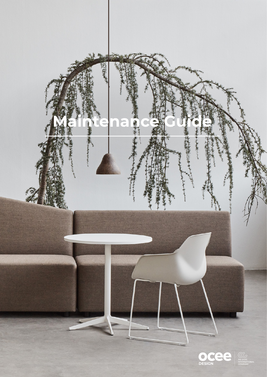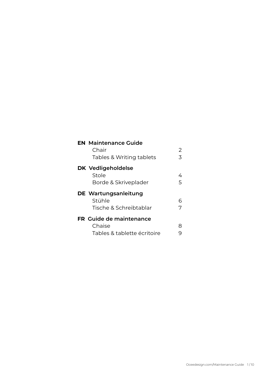| <b>EN</b> Maintenance Guide<br>Chair<br>Tables & Writing tablets        | 2<br>3 |
|-------------------------------------------------------------------------|--------|
| <b>DK Vedligeholdelse</b><br>Stole<br>Borde & Skriveplader              | 4<br>5 |
| DE Wartungsanleitung<br>Stühle<br>Tische & Schreibtablar                | ൳<br>7 |
| <b>FR</b> Guide de maintenance<br>Chaise<br>Tables & tablette écritoire |        |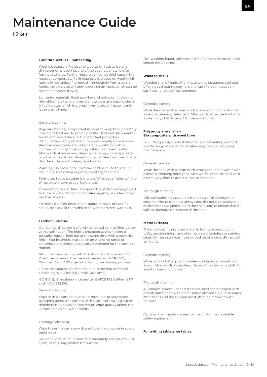# **Maintenance Guide** Chair

# **Furniture Textiles + Softseating**

Wool is because of its elasticity, abrasion resistance and dirt rejection properties one of the best raw materials for furniture textiles. Furthermore, wool fabrics hold natural fire retardant properties. If a lit cigarette is placed on wool, it will normally not ignite. If removed immediately from a woolen fabric, the cigarette will only leave a small mark, which can be sanded or brushed away.

Synthetic materials: Such as nylon and polyester (including microfiber) are generally resistant to wear and easy to clean. A lit cigarette, which is promptly removed, will usually only leave a small hole.

#### General cleaning

Regular cleaning is important in order to keep the upholstery looking its best and to prolong its life. Dust and dirt wear the textile and also reduce its fire retardant properties. Vacuum frequently on medium power, ideally once a week. Remove non-greasy stains by carefully dabbing with a lint free cloth or sponge wrung out in clean warm water. Afterwards, if necessary, clean by dabbing with soapy water or water with a little dishwashing liquid. See formulae. Finally, dab the surface with clean, tepid water.

Warning! Do not rub the material hard because this could result in loss of colour or perhaps damage the nap.

Formulae: Soapy solution is made of 1/4 dl soap flakes to 1 litre of hot water; leave to cool before use.

Dishwashing liquid: Max 1 teaspoon full of dishwashing liquid to 1 litre of water. With concentrated agents, use a few drops per litre of water.

For more detailed instructions about removal of specific stains, please visit the website of Kvadrat: www.kvadrat.dk.

# **Leather Furniture**

Our standard leather is slightly corrected semi aniline leather with a soft touch. The hide is characterized by having a beautiful natural look but at the same time with a powerful finish. Our leather is available in an extensive range of contemporary colours, especially developed for the contract market.

All our leathers comply with the strict regulations and EU Directives covering the use and presence of PCP, CFC, Chrome IV and AZO dyestuffs during the tanning process.

Flame Resistance: The material fulfills the requirements according to ISO 81911 (Butane Gas flame).

ISO 8191:2: (Smouldering cigarette), EN1021 1&2 California 117 and IMO A652 (16).

#### General cleaning

Wipe with a clean, soft cloth. Remove non-greasy stains by wiping across the surface with a soft cloth wrung out in demineralised or boiled cold water. Wipe quickly across the surface to prevent water marks.

# Thorough cleaning

Wipe the entire surface with a soft cloth wrung out in soapy, tepid water.

Spilled fluid must be removed immediately. Do not vacuum clean, as this may scratch the surface.

Dishwashing liquid, solvents and fat (leather creams and oils) should not be used.

### **Wooden shells**

Wooden shells (made of laminate with a lacquered surface) offer a good seating comfort, a range of elegant wooden surfaces - and easy maintenance.

#### General cleaning

Wipe the shell with a clean cloth wrung out in hot water with a neutral cleaning detergent. Afterwards, wipe the shell with a clean, dry cloth to avoid stripes or blotches.

# **Polypropylene shells + Bio composite with wood fibre**

Four Design polyamide shells offer a good seating comfort, a wide range of elegant and refreshing colours - and easy maintenance.

# General cleaning

Wipe the shell with a clean cloth wrung out in hot water with a neutral cleaning detergent. Afterwards, wipe the shell with a clean, dry cloth to avoid stripes or blotches.

# Thorough cleaning

Difficult stains may require a more powerful detergent or solvent. Prior to cleaning, always test the detergent/solvent in an invisible spot (underneath the chair seat) to ensure that it will not damage the surface of the shell.

# **Metal surfaces**

The most commonly used metal in furniture production today are aluminium and chrome plated, stainless or painted steel. All these surfaces have a good resistance to dirt as well as liquids.

#### General cleaning

Wipe with a cloth dipped in water containing dishwashing liquid. Afterwards, wipe the surface with a clean, dry cloth to avoid stripes or blotches.

# Thorough cleaning

Aluminum, chromium and stainless steel can be wiped with a cloth dampened with denaturated alcohol. Coloured marks after shoes and the like can most often be removed with benzine.

Caution: Flammable - remember ventilation and suitable safety equipment.

# **For writing tablets, se tables.**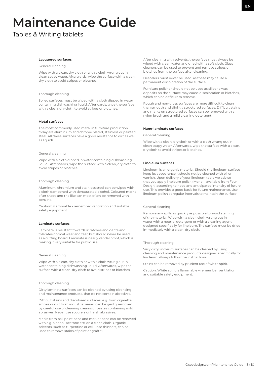# **Maintenance Guide**

Tables & Writing tablets

#### **Lacquered surfaces**

# General cleaning

Wipe with a clean, dry cloth or with a cloth wrung out in clean soapy water. Afterwards, wipe the surface with a clean, dry cloth to avoid stripes or blotches.

#### Thorough cleaning

Soiled surfaces must be wiped with a cloth dipped in water containing dishwashing liquid. Afterwards, wipe the surface with a clean, dry cloth to avoid stripes or blotches.

# **Metal surfaces**

The most commonly used metal in furniture production today are aluminium and chrome plated, stainless or painted steel. All these surfaces have a good resistance to dirt as well as liquids.

#### General cleaning

Wipe with a cloth dipped in water containing dishwashing liquid. Afterwards, wipe the surface with a clean, dry cloth to avoid stripes or blotches.

# Thorough cleaning

Aluminum, chromium and stainless steel can be wiped with a cloth dampened with denaturated alcohol. Coloured marks after shoes and the like can most often be removed with benzine.

Caution: Flammable - remember ventilation and suitable safety equipment.

# **Laminate surfaces**

Laminate is resistant towards scratches and dents and tolerates normal wear and tear, but should never be used as a cutting board. Laminate is nearly vandal proof, which is making it very suitable for public use.

# General cleaning

Wipe with a clean, dry cloth or with a cloth wrung out in water containing dishwashing liquid. Afterwards, wipe the surface with a clean, dry cloth to avoid stripes or blotches.

# Thorough cleaning

Dirty laminate surfaces can be cleaned by using cleansing and maintenance products, that do not contain abrasives.

Difficult stains and discolored surfaces (e.g. from cigarette smoke or dirt from industrial areas) can be gently removed by careful use of cleaning creams or pastes containing mild abrasives. Never use scourers or harsh abrasives.

Marks from ball point pens and marker pens can be removed with e.g. alcohol, acetone etc. on a clean cloth. Organic solvents, such as turpentine or cellulose thinners, can be used to remove stains of paint or graffiti.

After cleaning with solvents, the surface must always be wiped with clean water and dried with a soft cloth. Glass cleaners can be used to prevent and remove stripes or blotches from the surface after cleaning.

Descalers must never be used, as these may cause a permanent discoloration of the surface.

Furniture polisher should not be used as silicone wax deposits on the surface may cause discoloration or blotches, which can be difficult to remove.

Rough and non-gloss surfaces are more difficult to clean than smooth and slightly structured surfaces. Difficult stains and marks on structured surfaces can be removed with a nylon brush and a mild cleaning detergent.

#### **Nano-laminate surfaces**

General cleaning

Wipe with a clean, dry cloth or with a cloth wrung out in clean soapy water. Afterwards, wipe the surface with a clean, dry cloth to avoid stripes or blotches.

#### **Linoleum surfaces**

Linoleum is an organic material. Should the linoleum surface keep its appearance it should not be cleaned with oil or varnish. Upon delivery of your linoleum table we advise that you apply linoleum polish (Monel - available from Four Design) according to need and anticipated intensity of future use. This provides a good basis for future maintenance. Use linoleum polish at regular intervals to maintain the surface.

#### General cleaning

Remove any spills as quickly as possible to avoid staining of the material. Wipe with a clean cloth wrung out in water with a neutral detergent or with a cleaning agent designed specifically for linoleum. The surface must be dried immediately with a clean, dry cloth.

### Thorough cleaning

Very dirty linoleum surfaces can be cleaned by using cleaning and maintenance products designed specifically for linoleum. Always follow the instructions.

Stains can be removed by prudent use of white spirit.

Caution: White spirit is flammable – remember ventilation and suitable safety equipment.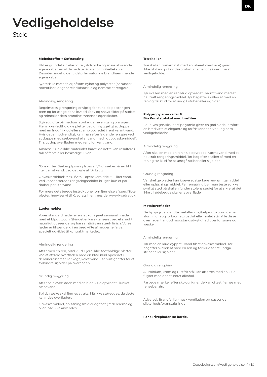# **Vedligeholdelse** Stole

Uld er grundet sin elasticitet, slidstyrke og snavs afvisende egenskaber, en af de bedste råvarer til møbeltekstiler. Desuden indeholder uldstoffer naturlige brandhæmmende egenskaber.

Syntetiske materialer, såsom nylon og polyester (herunder microfiber) er generelt slidstærke og nemme at rengøre.

#### Almindelig rengøring

Regelmæssig rengøring er vigtig for at holde polstringen pæn og forlænge dens levetid. Støv og snavs slider på stoffet og mindsker dets brandhæmmende egenskaber.

Støvsug ofte på medium styrke, gerne en gang om ugen. Fjern ikke-fedtholdige pletter ved omhyggeligt at duppe med en fnugfri klud eller svamp opvredet i rent varmt vand. Hvis det er nødvendigt, kan man efterfølgende rengøre ved at duppe med sæbevand eller vand med lidt opvaskemiddel\*. Til slut dup overfladen med rent, lunkent vand.

Advarsel!: Gnid ikke materialet hårdt, da dette kan resultere i tab af farve eller beskadige luven.

\*Opskrifter: Sæbeopløsning laves af 1/4 dl sæbespåner til 1 liter varmt vand. Lad det køle af før brug.

Opvaskemiddel: Max. 1/2 tsk. opvaskemiddel til 1 liter vand. Ved koncentrerede rengøringsmidler bruges kun et par dråber per liter vand.

For mere detaljerede instruktioner om fjernelse af specifikke pletter, henviser vi til Kvadrats hjemmeside: www.kvadrat.dk

### **Lædermøbler**

Vores standard læder er en let korrigeret semianilinlæder med et blødt touch. Skindet er karakteriseret ved et smukt naturligt udseende, og har samtidig en stærk finish. Vores læder er tilgængelig i en bred vifte af moderne farver, specielt udviklet til kontraktmarkedet.

#### Almindelig rengøring

Aftør med en ren, blød klud. Fjern ikke-fedtholdige pletter ved at aftørre overfladen med en blød klud opvredet i demineraliseret eller kogt, koldt vand. Tør hurtigt efter for at forhindre skjolder på overfladen.

# Grundig rengøring

Aftør hele overfladen med en blød klud opvredet i lunket sæbevand.

Spildt væske skal fjernes straks. Må ikke støvsuges, da dette kan ridse overfladen.

Opvaskemiddel, opløsningsmidler og fedt (lædercreme og olier) bør ikke anvendes.

# **Træskaller**

Træskaller (trælaminat med en lakeret overflade) giver ikke blot en god siddekomfort, men er også nemme at vedligeholde.

Almindelig rengøring

Tør skallen med en ren klud opvredet i varmt vand med et neutralt rengøringsmiddel. Tør bagefter skallen af med en ren og tør klud for at undgå striber eller skjolder.

# **Polypropyleneskaller & Bio Kunststofskal med træfiber**

Four Designs skaller af polyamid giver en god siddekomfort, en bred vifte af elegante og forfriskende farver - og nem vedligeholdelse.

#### Almindelig rengøring

Aftør skallen med en ren klud opvredet i varmt vand med et neutralt rengøringsmiddel. Tør bagefter skallen af med en ren og tør klud for at undgå striber eller skjolder.

### Grundig rengøring

Vanskelige pletter kan kræve et stærkere rengøringsmiddel eller opløsningsmiddel. Før rengøring bør man teste et ikke synligt sted på skallen (under stolens sæde) for at sikre, at det ikke vil ødelægge skallens overflade.

# **Metaloverflader**

De hyppigst anvendte metaller i møbelproduktion i dag er aluminium og forkromet, rustfrit eller malet stål. Alle disse overflader har god modstandsdygtighed over for snavs og væsker.

# Almindelig rengøring

Tør med en klud dyppet i vand tilsat opvaskemiddel. Tør bagefter skallen af med en ren og tør klud for at undgå striber eller skjolder.

#### Grundig rengøring

Aluminium, krom og rustfrit stål kan aftørres med en klud fugtet med denatureret alkohol.

Farvede mærker efter sko og lignende kan oftest fjernes med rensebenzin.

Advarsel: Brandfarlig - husk ventilation og passende sikkerhedsforanstaltninger.

# **For skriveplader, se borde.**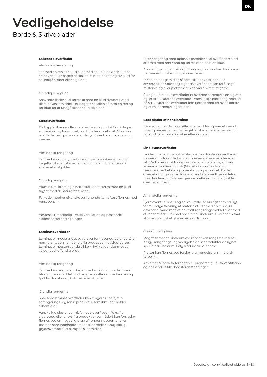# **Vedligeholdelse**

Borde & Skriveplader

# **Lakerede overflader**

Almindelig rengøring

Tør med en ren, tør klud eller med en klud opvredet i rent sæbevand. Tør bagefter skallen af med en ren og tør klud for at undgå striber eller skjolder.

#### Grundig rengøring

Snavsede flader skal tørres af med en klud dyppet i vand tilsat opvaskemiddel. Tør bagefter skallen af med en ren og tør klud for at undgå striber eller skjolder.

# **Metaloverflader**

De hyppigst anvendte metaller i møbelproduktion i dag er aluminium og forkromet, rustfrit eller malet stål. Alle disse overflader har god modstandsdygtighed over for snavs og væsker.

#### Almindelig rengøring

Tør med en klud dyppet i vand tilsat opvaskemiddel. Tør bagefter skallen af med en ren og tør klud for at undgå striber eller skjolder.

#### Grundig rengøring

Aluminium, krom og rustfrit stål kan aftørres med en klud fugtet med denatureret alkohol.

Farvede mærker efter sko og lignende kan oftest fjernes med rensebenzin.

Advarsel: Brandfarlig - husk ventilation og passende sikkerhedsforanstaltninger.

# **Laminatoverflader**

Laminat er modstandsdygtig over for ridser og buler og tåler normal slitage, men bør aldrig bruges som et skærebræt. Laminat er næsten vandalsikkert, hvilket gør det meget velegnet til offentlig brug.

# Almindelig rengøring

Tør med en ren, tør klud eller med en klud opvredet i vand tilsat opvaskemiddel. Tør bagefter skallen af med en ren og tør klud for at undgå striber eller skjolder.

# Grundig rengøring

Snavsede laminat overflader kan rengøres ved hjælp af rengørings- og renseprodukter, som ikke indeholder slibemidler.

Vanskelige pletter og misfarvede overflader (f.eks. fra cigaretrøg eller snavs fra produktionsområder) kan forsigtigt fjernes ved omhyggelig brug af rengøringscremer eller pastaer, som indeholder milde slibemidler. Brug aldrig grydesvampe eller skrappe slibemidler.

Efter rengøring med opløsningsmidler skal overfladen altid aftørres med rent vand og tørres med en blød klud.

Afkalkningsmidler må aldrig bruges, da disse kan forårsage permanent misfarvning af overfladen.

Møbelpoleringsmidler, såsom silikonevoks, bør ikke anvendes, da voksaflejringer på overfladen kan forårsage misfarvning eller pletter, der kan være svære at fjerne.

Ru og ikke-blanke overflader er sværere at rengøre end glatte og let strukturerede overflader. Vanskelige pletter og mærker på strukturerede overflader kan fjernes med en nylonbørste og et mildt rengøringsmiddel.

#### **Bordplader af nanolaminat**

Tør med en ren, tør klud eller med en klud opvredet i vand tilsat opvaskemiddel. Tør bagefter skallen af med en ren og tør klud for at undgå striber eller skjolder.

#### **Linoleumoverflader**

Linoleum er et organisk materiale. Skal linoleumoverfladen bevare sit udseende, bør den ikke rengøres med olie eller lak. Ved levering af linoleumsbordet anbefaler vi, at man anvender linoleumpolish (Monel - kan købes hos Four Design) efter behov og forventet brug af bordet. Dette giver et godt grundlag for den fremtidige vedligeholdelse. Brug linoleumpolish med jævne mellemrum for at holde overfladen pæn.

#### Almindelig rengøring

Fjern eventuel snavs og spildt væske så hurtigt som muligt for at undgå farvning af materialet. Tør med en ren klud opvredet i vand med et neutralt rengøringsmiddel eller med et rensemiddel udviklet specielt til linoleum. Overfladen skal aftørres øjeblikkeligt med en ren, tør klud.

#### Grundig rengøring

Meget snavsede linoleum overflader kan rengøres ved at bruge rengørings- og vedligeholdelsesprodukter designet specielt til linoleum. Følg altid instruktionerne.

Pletter kan fjernes ved forsigtig anvendelse af mineralsk terpentin.

Advarsel: Mineralsk terpentin er brandfarlig - husk ventilation og passende sikkerhedsforanstaltninger.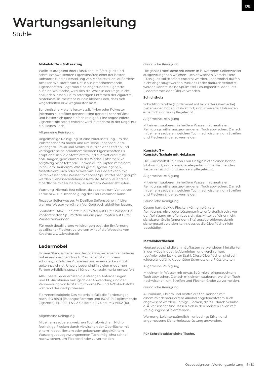# **Wartungsanleitung** Stühle

Wolle ist aufgrund ihrer Elastizität, Reißfestigkeit und schmutzabweisenden Eigenschaften einer der besten Rohstoffe für die Herstellung von Möbeltextilien. Außerdem besitzen Wollstoffe von Natur aus brandhemmende Eigenschaften. Legt man eine angezündete Zigarette auf eine Wollfläche, wird sich die Wolle in der Regel nicht anzünden lassen. Beim sofortigen Entfernen der Zigarette hinterlässt sie meistens nur ein kleines Loch, dass sich wegschleifen bzw. wegbürsten lässt.

Synthetische Materialien,wie z.B. Nylon oder Polyester (hiernach Microfiber genannt) sind generell sehr reißfest und lassen sich ganz einfach reinigen. Eine angezündete Zigarette, die sofort entfernt wird, hinterlässt in der Regel nur ein kleines Loch.

#### Allgemeine Reinigung

Regelmäßige Reinigung ist eine Voraussetzung, um das Polster schön zu halten und um seine Lebensdauer zu verlängern. Staub und Schmutz nutzen den Stoff ab und verringern seine brandhemmenden Eigenschaften.Es empfiehlt sich, die Stoffe öfters und auf mittlerer Stufe abzusaugen, gern einmal in der Woche. Entfernen Sie sorgfältig nicht-fettende Flecken durch Tupfen mit einem in heißem, sauberem Wasser gut ausgewrungenen, fusselfreiem Tuch oder Schwamm. Bei Bedarf kann mit Seifenwasser oder Wasser mit etwas Spülmittel nachgetupft werden. Siehe nachstehende Rezepte. Abschließend die Oberfläche mit sauberem, lauwarmem Wasser abtupfen.

Warnung: Niemals fest reiben, da es sonst zum Verlust von Farbe bzw. zur Beschädigung des Flors kommen kann.

Rezepte: Seifenwasser: ¼ Deziliter Seifenspäne in 1 Liter warmes Wasser verrühren. Vor Gebrauch abkühlen lassen.

Spülmittel: Max. 1 Teelöffel Spülmittel auf 1 Liter Wasser. Bei konzentrierten Spülmitteln nur ein paar Tropfen auf 1 Liter Wasser verwenden.

Für noch detailliertere Anleitungen bzgl. der Entfernung spezifischer Flecken, verweisen wir auf die Webseite von Kvadrat: www.kvadrat.dk

# **Ledermöbel**

Unsere Standardleder sind leicht korrigierte Semianilinleder mit einem weichen Touch. Das Leder ist durch sein schönes, natürliches Aussehen und einen starken Finish gekennzeichnet. Unsere Leder sind in vielen modernen Farben erhältlich, speziell für den Kontraktmarkt entworfen.

Alle unsere Leder erfüllen die strengen Anforderungen und EU-Richtlinien bezüglich der Anwendung und der Verwendung von PCP, CFC, Chrome IV- und AZO-Farbstoffe während des Gerbprozesses.

Flammenfestigkeit: Das Material erfüllt die Forderungen nach ISO 8191:1 (Butangasflamme) und ISO 8191:2 (glimmende Zigarette), EN 1021-1 & 2 & California 117 und IMO A652 (16).

#### Allgemeine Reinigung

Mit einem sauberen, weichen Tuch abwischen. Nichtfetthaltige Flecken durch Abwischen der Oberfläche mit einem in destilliertem oder gekochtem abgekühltem Wasser gut ausgewrungenenen Tuch. Möglichst schnell nachwischen, um Fleckenränder zu vermeiden.

#### Gründliche Reinigung

Die ganze Oberfläche mit einem in lauwarmem Seifenwasser ausgewrungenen weichen Tuch abwischen. Verschüttete Flüssigkeit sollte sofort entfernt werden. Ledermöbel dürfen nicht abgesaugt werden, weil das Leder dadurch verkratzt werden könnte. Keine Spülmittel, Lösungsmittel oder Fett (Ledercremes oder Öle) verwenden.

#### **Schichtholz**

Schichtholzstühle (Holzlaminat mit lackierter Oberfläche) bieten einen hohen Sitzkomfort, sind in vielerlei Holzsorten erhältlich und sind pflegeleicht.

# Allgemeine Reinigung

Mit einem sauberen, in heißem Wasser mit neutralen Reinigungsmittel ausgewrungenen Tuch abwischen. Danach mit einem sauberen weichen Tuch nachwischen, um Streifen und Fleckenränder zu vermeiden.

# **Kunststoff + Kunststoffschale mit Holzfaser**

Die Kunststoffstühle von Four Design bieten einen hohen Sitzkomfort, sind in vielerlei eleganten und erfrischenden Farben erhältlich und sind sehr pflegeleicht.

Allgemeine Reinigung

Mit einem sauberen, in heißem Wasser mit neutralen Reinigungsmittel ausgewrungenen Tuch abwischen. Danach mit einem sauberen weichen Tuch nachwischen, um Streifen und Fleckenränder zu vermeiden.

# Gründliche Reinigung

Gegen hartnäckige Flecken können stärkere Reinigungsmittel oder Lösungsmittel erforderlich sein. Vor der Reinigung empfiehlt es sich, das Mittel auf einer nicht sichtbaren Stelle (unter dem Sitz) auszuprobieren, damit sichergestellt werden kann, dass es die Oberfläche nicht beschädigt.

#### **Metalloberflächen**

Heutzutage sind die am häufigsten verwendeten Metallarten in der Möbelindustrie Aluminium und verchromter, rostfreier oder lackierter Stahl. Diese Oberflächen sind sehr widerstandsfähig gegenüber Schmutz und Flüssigkeiten.

# Allgemeine Reinigung

Mit einem in Wasser mit etwas Spülmittel eingetauchtem Tuch abwischen. Danach mit einem sauberen, weichen Tuch nachwischen, um Streifen und Fleckenränder zu vermeiden.

# Gründliche Reinigung

Aluminium, Chrom und rostfreier Stahl können mit einem mit denaturiertem Alkohol angefeuchtetem Tuch abgewischt werden. Farbige Flecken, die z.B. durch Schuhe o. Ä. verursacht sind, lassen sich in den meisten Fällen mit Reinigungsbenzin entfernen.

Warnung: Leichtentzündlich – unbedingt lüften und angemessene Sicherheitsausrüstung anwenden.

#### **Für Schreibtablar siehe Tische.**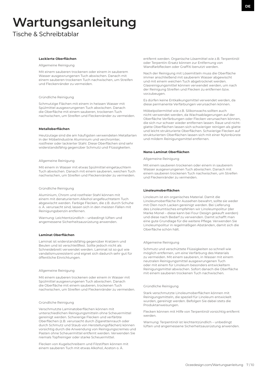# **Wartungsanleitung**

Tische & Schreibtablar

# **Lackierte Oberflächen**

Allgemeine Reinigung

Mit einem sauberen trockenen oder einem in sauberem Wasser ausgewrungenen Tuch abwischen. Danach mit einem sauberen trockenen Tuch nachwischen, um Streifen und Fleckenränder zu vermeiden.

# Gründliche Reinigung

Schmutzige Flächen mit einem in heissen Wasser mit Spülmittel ausgewrungenen Tuch abwischen. Danach die Oberfläche mit einem sauberen, trockenen Tuch nachwischen, um Streifen und Fleckenränder zu vermeiden.

#### **Metalloberflächen**

Heutzutage sind die am häufigsten verwendeten Metallarten in der Möbelindustrie Aluminium und verchromter, rostfreier oder lackierter Stahl. Diese Oberflächen sind sehr widerstandsfähig gegenüber Schmutz und Flüssigkeiten.

# Allgemeine Reinigung

Mit einem in Wasser mit etwas Spülmittel eingetauchtem Tuch abwischen. Danach mit einem sauberen, weichen Tuch nachwischen, um Streifen und Fleckenränder zu vermeiden.

# Gründliche Reinigung

Aluminium, Chrom und rostfreier Stahl können mit einem mit denaturiertem Alkohol angefeuchtetem Tuch abgewischt werden. Farbige Flecken, die z.B. durch Schuhe o. Ä. verursacht sind, lassen sich in den meisten Fällen mit Reinigungsbenzin entfernen.

Warnung: Leichtentzündlich – unbedingt lüften und angemessene Sicherheitsausrüstung anwenden.

# **Laminat Oberflächen**

Laminat ist widerstandsfähig gegenüber Kratzern und Beulen und ist verschleißfest. Sollte jedoch nicht als Schneidebrett verwendet werden. Laminat ist so gut wie vandalismusresistent und eignet sich dadurch sehr gut für öffentliche Einrichtungen.

#### Allgemeine Reinigung

Mit einem sauberen trockenen oder einem in Wasser mit Spülmittel ausgewrungenen Tuch abwischen. Danach die Oberfläche mit einem sauberen, trockenen Tuch nachwischen, um Streifen und Fleckenränder zu vermeiden.

# Gründliche Reinigung

Verschmutzte Laminatoberflächen können mit unterschiedlichen Reinigungsmitteln ohne Scheuermittel gereinigt werden. Schwierige Flecken und verfärbte Oberflächen (z.B. verursacht durch Zigarettenrauch oder durch Schmutz und Staub von Herstellungsflächen) können vorsichtig durch die Anwendung von Reinigungscremes und Pasten ohne Scheuermittel entfernt werden. Verwenden Sie niemals Topfreiniger oder starke Scheuermittel.

Flecken von Kugelschreibern und Filzstiften können mit einem sauberen Tuch mit etwas Alkohol, Aceton o. Ä.

entfernt werden. Organische Lösemittel wie z.B. Terpentinöl oder Terpentin-Ersatz können zur Entfernung von Wandfarbflecken oder Graffiti benutzt werden.

Nach der Reinigung mit Lösemitteln muss die Oberfläche immer anschließend mit sauberem Wasser abgewischt und mit einem weichen Tuch abgetrocknet werden. Glasreinigungsmittel können verwendet werden, um nach der Reinigung Streifen und Flecken zu entfernen bzw. vorzubeugen.

Es dürfen keine Entkalkungsmittel verwendet werden, da diese permanente Verfärbungen verursachen können.

Möbelpoliermittel wie z.B. Silikonwachs sollten auch nicht verwendet werden, da Wachsablagerungen auf der Oberfläche Verfärbungen oder Flecken verursachen können, die sich nur schwer wieder entfernen lassen. Raue und nichtglatte Oberflächen lassen sich schwieriger reinigen als glatte und leicht strukturierte Oberflächen. Schwierige Flecken auf strukturierten Oberflächen lassen sich mit einer Nylonbürste und mildem Reinigungsmittel entfernen.

#### **Nano-Laminat Oberflächen**

Allgemeine Reinigung

Mit einem sauberen trockenen oder einem in sauberem Wasser ausgewrungenen Tuch abwischen. Danach mit einem sauberen trockenen Tuch nachwischen, um Streifen und Fleckenränder zu vermeiden.

# **Linoleumoberflächen**

Linoleum ist ein organisches Material. Damit die Linoleumoberfläche ihr Aussehen bewahrt, sollte sie weder mit Ölen noch Lacken gereinigt werden. Bei Lieferung des Linoleumtisches empfehlen wir Linoleumpolitur (der Marke Monel – diese kann bei Four Design gekauft werden) und diese nach Bedarf zu verwenden. Damit schafft man eine gute Grundlage für die weitere Pflege. Verwenden Sie Linoleumpolitur in regelmäßigen Abständen, damit sich die Oberfläche schön hält.

# Allgemeine Reinigung

Schmutz und verschüttete Flüssigkeiten so schnell wie möglich entfernen, um eine Verfärbung des Materials zu vermeiden. Mit einem sauberen, in Wasser mit einem neutralen Reinigungsmittel ausgewrungenen Tuch oder mit einem für Linoleum besonders entwickeltem Reinigungsmittel abwischen. Sofort danach die Oberfläche mit einem sauberen trockenen Tuch nachwischen.

# Gründliche Reinigung

Stark verschmutzte Linoleumoberflächen können mit Reinigungsmitteln, die speziell für Linoleum entwickelt wurden, gereinigt werden. Befolgen Sie dabei stets die Produktanweisungen.

Flecken können mit Hilfe von Terpentinöl vorsichtig entfernt werden.

Warnung: Terpentinöl ist leichtentzündlich – unbedingt lüften und angemessene Sicherheitsausrüstung anwenden.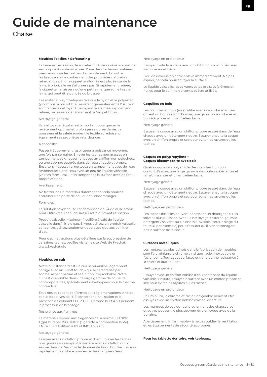# **Guide de maintenance**

# Chaise

#### **Meubles Textiles + Softseating**

La laine est, en raison de son élasticité, de sa résistance et de ses propriétés anti-salissures, l'une des meilleures matières premières pour les textiles d'ameublement. En outre, les tissus en laine contiennent des propriétés naturelles retardatrices. Si une cigarette allumée est placée sur de la laine, à priori, elle ne s'allumera pas. Si rapidement retirée, la cigarette ne laissera qu'une petite marque sur le tissu en laine, qui peut être poncée ou brossée.

Les matériaux synthétiques tels que le nylon et le polyester (y compris la microfibre), résistent généralement à l'usure et sont faciles à nettoyer. Une cigarette allumée, rapidement retirée, ne laissera généralement qu'un petit trou.

#### Nettoyage général

Un nettoyage régulier est important pour garder le revêtement optimal et prolonger sa durée de vie. La poussière et la saleté érodent le textile et réduisent également ses propriétés retardatrices.

# A conseiller :

Passer fréquemment l'aspirateur à puissance moyenne, une fois par semaine. Enlever les taches non grasses en tamponnant soigneusement avec un chiffon non pelucheux ou une éponge essorée dans de l'eau chaude et propre. Ensuite, si nécessaire, nettoyez en tamponnant avec de l'eau savonneuse ou de l'eau avec un peu de liquide vaisselle (voir les formules). Enfin tamponnez la surface avec de l'eau propre et tiède.

#### Avertissement :

Ne frottez pas le matériau durement car cela pourrait entraîner une perte de couleur et l'endommager.

# Formules :

La solution savonneuse est composée de 1/4 de dl de savon pour 1 litre d'eau chaude; laisser refroidir avant utilisation.

Produit vaisselle: Maximum 1 cuillère à café de liquide vaisselle dans 1 litre d'eau. Si vous utilisez un produit vaisselle concentré, utilisez seulement quelques gouttes par litre d'eau.

Pour des instructions plus détaillées sur la suppression de certaines taches, veuillez visiter le site Web de Kvadrat: www.kvadrat.dk.

#### **Meubles en cuir**

Notre cuir standard est un cuir semi-aniline légèrement corrigé avec un « soft touch » qui se caractérise par son bel aspect nature et sa finition irréprochable. Notre cuir est disponible dans une large gamme de couleurs contemporaines, spécialement développées pour le marché contractuel.

Tous nos cuirs sont conformes aux réglementations strictes et aux directives de l'UE concernant l'utilisation et la présence de colorants PCP, CFC, Chrome IV et AZO pendant le processus de bronzage.

### Résistance aux flammes

Le matériau répond aux exigences de la norme ISO 8191: 1 (gaz butane). ISO 8191: 2: (cigarette à combustion lente), EN1021 1 & 2 California 117 et IMO A652 (16).

#### Nettoyage général

Essuyer avec un chiffon propre et doux. Enlever les taches non grasses en essuyant la surface avec un chiffon doux essoré dans de l'eau froide déminéralisée ou bouillie. Essuyez rapidement la surface pour éviter les marques d'eau.

Nettoyage en profondeur

Essuyer toute la surface avec un chiffon doux imbibé d'eau savonneuse et tiède.

Liquide déversé doit être enlevé immédiatement. Ne pas aspirer, car cela pourrait rayer la surface.

Le liquide vaisselle, les solvants et les graisses (crèmes et huiles pour le cuir) ne doivent pas être utilisés.

#### **Coquilles en bois**

Les coquilles en bois (en stratifié avec une surface laquée) offrent un bon confort d'assise, une gamme de surfaces en bois élégantes et un entretien facile.

# Nettoyage général

Essuyer la coque avec un chiffon propre essoré dans de l'eau chaude avec un détergent neutre. Essuyer ensuite la coque avec un chiffon propre et sec pour éviter les rayures ou les taches.

# **Coques en polypropylène + Coques biocomposite avec bois**

Quatre coques en polyamide Design offrent un bon confort d'assise, une large gamme de couleurs élégantes et rafraîchissantes et un entretien facile.

#### Nettoyage général

Essuyer la coque avec un chiffon propre essoré dans de l'eau chaude avec un détergent neutre. Essuyer ensuite la coque avec un chiffon propre et sec pour éviter les rayures ou les taches.

# Nettoyage en profondeur

Les taches difficiles peuvent nécessiter un détergent ou un solvant plus puissant. Avant le nettoyage, tester toujours le détergent / solvant sur un endroit invisible (sous le siège du fauteuil par exemple) pour s'assurer qu'il n'endommagera pas la surface de la coque.

#### **Surfaces métalliques**

Les métaux les plus utilisés dans la fabrication de meubles sont l'aluminium, le chrome ainsi que l'acier inoxydable et l'acier peint. Toutes ces surfaces ont une bonne résistance à la saleté et aux liquides.

#### Nettoyage général

Essuyer avec un chiffon imbibé d'eau contenant du liquide vaisselle. Ensuite, essuyer la surface avec un chiffon propre et sec pour éviter les rayures ou les taches.

Nettoyage en profondeur

L'aluminium, le chrome et l'acier inoxydable peuvent être essuyés avec un chiffon imbibé d'alcool dénaturé.

Les marques de couleur qui proviennent des chaussures et autres peuvent le plus souvent être enlevées avec de la benzine.

Avertissement: Inflammable – à ne pas oublier la ventilation et les équipements de sécurité appropriés.

#### **Pour les tablette écritoire, voir tableaux.**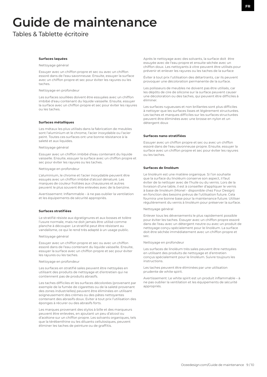# **Guide de maintenance**

Tables & Tablette écritoire

#### **Surfaces laquées**

Nettoyage général

Essuyer avec un chiffon propre et sec ou avec un chiffon essoré dans de l'eau savonneuse. Ensuite, essuyer la surface avec un chiffon propre et sec pour éviter les rayures ou les taches.

Nettoyage en profondeur

Les surfaces souillées doivent être essuyées avec un chiffon imbibé d'eau contenant du liquide vaisselle. Ensuite, essuyer la surface avec un chiffon propre et sec pour éviter les rayures ou les taches.

# **Surfaces métalliques**

Les métaux les plus utilisés dans la fabrication de meubles sont l'aluminium et le chrome, l'acier inoxydable ou l'acier peint. Toutes ces surfaces ont une bonne résistance à la saleté et aux liquides.

Nettoyage général

Essuyer avec un chiffon imbibé d'eau contenant du liquide vaisselle. Ensuite, essuyer la surface avec un chiffon propre et sec pour éviter les rayures ou les taches.

# Nettoyage en profondeur

L'aluminium, le chrome et l'acier inoxydable peuvent être essuyés avec un chiffon imbibé d'alcool dénaturé. Les marques de couleur frottées aux chaussures et autres peuvent le plus souvent être enlevées avec de la benzine.

Avertissement: Inflammable – à ne pas oublier la ventilation et les équipements de sécurité appropriés.

# **Surfaces stratifiées**

Le stratifié résiste aux égratignures et aux bosses et tolère l'usure normale, mais ne doit jamais être utilisé comme planche à découper. Le stratifié peut être résistant au vandalisme, ce qui le rend très adapté à un usage public.

#### Nettoyage général

Essuyer avec un chiffon propre et sec ou avec un chiffon essoré dans de l'eau contenant du liquide vaisselle. Ensuite, essuyer la surface avec un chiffon propre et sec pour éviter les rayures ou les taches.

#### Nettoyage en profondeur

Les surfaces en stratifié sales peuvent être nettoyées en utilisant des produits de nettoyage et d'entretien qui ne contiennent pas de produits abrasifs.

Les taches difficiles et les surfaces décolorées (provenant par exemple de la fumée de cigarettes ou de la saleté provenant des zones industrielles) peuvent être éliminées en utilisant soigneusement des crèmes ou des pâtes nettoyantes contenant des abrasifs doux. Eviter à tout prix l'utilisation des éponges à récurer ou des abrasifs forts.

Les marques provenant des stylos à bille et des marqueurs peuvent être enlevées, en ajoutant un peu d'alcool ou d'acétone sur un chiffon propre. Les solvants organiques, tels que la térébenthine ou les diluants cellulosiques, peuvent éliminer les taches de peinture ou de graffitis.

Après le nettoyage avec des solvants, la surface doit être essuyée avec de l'eau propre et ensuite séchée avec un chiffon doux. Les nettoyants à vitre peuvent être utilisés pour prévenir et enlever les rayures ou les taches de la surface

Éviter à tout prix l'utilisation des détartrants, car ils peuvent provoquer une décoloration permanente de la surface.

Les polisseurs de meubles ne doivent pas être utilisés, car les dépôts de cire de silicone sur la surface peuvent causer une décoloration ou des taches, qui peuvent être difficiles à éliminer.

Les surfaces rugueuses et non brillantes sont plus difficiles à nettoyer que les surfaces lisses et légèrement structurées. Les taches et marques difficiles sur les surfaces structurées peuvent être éliminées avec une brosse en nylon et un détergent doux

#### **Surfaces nano-stratifiées**

Essuyer avec un chiffon propre et sec ou avec un chiffon essoré dans de l'eau savonneuse propre. Ensuite, essuyer la surface avec un chiffon propre et sec pour éviter les rayures ou les taches.

#### **Surfaces de linoléum**

Le linoléum est une matière organique. Si l'on souhaite que la surface du linoléum conserve son aspect, il faut éviter de la nettoyer avec de l'huile ou du vernis. Lors de la livraison d'une table, il est à conseiller d'appliquer le vernis à base de linoléum (Monel - disponible chez Four Design) en fonction des besoins prévus de l'utilisation future. Cela fournira une bonne base pour la maintenance future. Utiliser régulièrement du vernis à linoléum pour préserver la surface.

# Nettoyage général

Enlever tous les déversements le plus rapidement possible pour éviter les taches. Essuyer avec un chiffon propre essoré dans de l'eau avec un détergent neutre ou avec un produit de nettoyage conçu spécialement pour le linoléum. La surface doit être séchée immédiatement avec un chiffon propre et sec.

Nettoyage en profondeur

Les surfaces de linoléum très sales peuvent être nettoyées en utilisant des produits de nettoyage et d'entretien conçus spécialement pour le linoléum. Suivre toujours les instructions.

Les taches peuvent être éliminées par une utilisation prudente de white spirit.

Avertissement: Le white spirit est un produit inflammable – à ne pas oublier la ventilation et les équipements de sécurité appropriés.